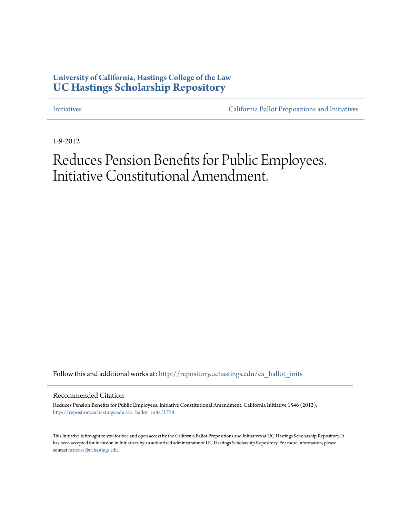# **University of California, Hastings College of the Law [UC Hastings Scholarship Repository](http://repository.uchastings.edu?utm_source=repository.uchastings.edu%2Fca_ballot_inits%2F1754&utm_medium=PDF&utm_campaign=PDFCoverPages)**

[Initiatives](http://repository.uchastings.edu/ca_ballot_inits?utm_source=repository.uchastings.edu%2Fca_ballot_inits%2F1754&utm_medium=PDF&utm_campaign=PDFCoverPages) [California Ballot Propositions and Initiatives](http://repository.uchastings.edu/ca_ballots?utm_source=repository.uchastings.edu%2Fca_ballot_inits%2F1754&utm_medium=PDF&utm_campaign=PDFCoverPages)

1-9-2012

# Reduces Pension Benefits for Public Employees. Initiative Constitutional Amendment.

Follow this and additional works at: [http://repository.uchastings.edu/ca\\_ballot\\_inits](http://repository.uchastings.edu/ca_ballot_inits?utm_source=repository.uchastings.edu%2Fca_ballot_inits%2F1754&utm_medium=PDF&utm_campaign=PDFCoverPages)

Recommended Citation

Reduces Pension Benefits for Public Employees. Initiative Constitutional Amendment. California Initiative 1546 (2012). [http://repository.uchastings.edu/ca\\_ballot\\_inits/1754](http://repository.uchastings.edu/ca_ballot_inits/1754?utm_source=repository.uchastings.edu%2Fca_ballot_inits%2F1754&utm_medium=PDF&utm_campaign=PDFCoverPages)

This Initiative is brought to you for free and open access by the California Ballot Propositions and Initiatives at UC Hastings Scholarship Repository. It has been accepted for inclusion in Initiatives by an authorized administrator of UC Hastings Scholarship Repository. For more information, please contact [marcusc@uchastings.edu](mailto:marcusc@uchastings.edu).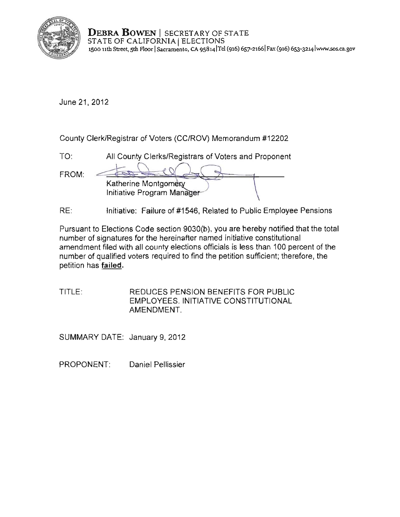

**DEBRA BOWEN** | SECRETARY OF STATE STATE OF CALIFORNIA IELECTIONS **1500 11th Street, 5th F100r ISacramento, CA 9S8141Tel (916) 657-2166 1 Fax (916) 653-3214 lwww.sos.ca.gov** 

June 21, 2012

County Clerk/Registrar of Voters (CC/ROV) Memorandum #12202

| TO:   | All County Clerks/Registrars of Voters and Proponent |
|-------|------------------------------------------------------|
| FROM: | Katherine Montgomery<br>Initiative Program Manager   |

RE: Initiative: Failure of #1546, Related to Public Employee Pensions

Pursuant to Elections Code section 9030(b), you are hereby notified that the total number of signatures for the hereinafter named initiative constitutional amendment filed with all county elections officials is less than 100 percent of the number of qualified voters required to find the petition sufficient; therefore, the petition has **failed.** 

TITLE: REDUCES PENSION BENEFITS FOR PUBLIC EMPLOYEES. INITIATIVE CONSTITUTIONAL AMENDMENT.

SUMMARY DATE: January 9, 2012

PROPONENT: Daniel Pellissier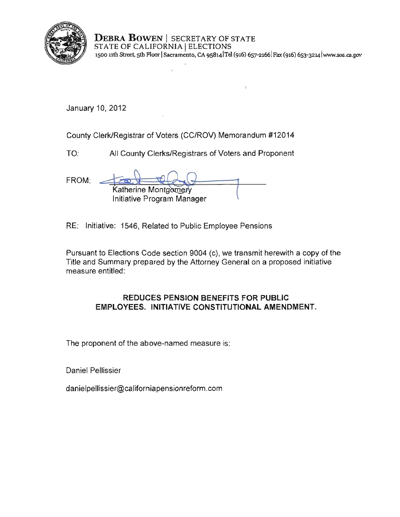

DEBRA BOWEN | SECRETARY OF STATE STATE OF CALIFORNIA | ELECTIONS **1500 11th Street, sth Floor ISacramento, CA 9S8141Tel (916) 657-21661 Fax (916)** 653-3214lwww.sos,ca.gov

January 10, 2012

County Clerk/Registrar of Voters (CC/ROV) Memorandum #12014

TO: All County Clerks/Registrars of Voters and Proponent

FROM: Katherine Montg Initiative Program Manager 1

RE: Initiative: 1546, Related to Public Employee Pensions

Pursuant to Elections Code section 9004 (c), we transmit herewith a copy of the Title and Summary prepared by the Attorney General on a proposed initiative measure entitled:

# REDUCES PENSION BENEFITS FOR PUBLIC EMPLOYEES. INITIATIVE CONSTITUTIONAL AMENDMENT.

**The proponent of the above-named measure is:** 

Daniel Pellissier

danielpellissier@californiapensionreform.com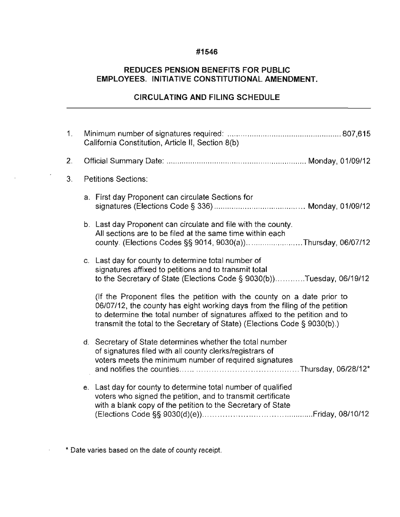# **#1546**

# **REDUCES PENSION BENEFITS FOR PUBLIC EMPLOYEES. INITIATIVE CONSTITUTIONAL AMENDMENT.**

# **CIRCULATING AND FILING SCHEDULE**

| 1. | California Constitution, Article II, Section 8(b) |                                                                                                                                                                                                                                                                                                                   |  |
|----|---------------------------------------------------|-------------------------------------------------------------------------------------------------------------------------------------------------------------------------------------------------------------------------------------------------------------------------------------------------------------------|--|
| 2. |                                                   |                                                                                                                                                                                                                                                                                                                   |  |
| 3. |                                                   | <b>Petitions Sections:</b>                                                                                                                                                                                                                                                                                        |  |
|    |                                                   | a. First day Proponent can circulate Sections for                                                                                                                                                                                                                                                                 |  |
|    |                                                   | b. Last day Proponent can circulate and file with the county.<br>All sections are to be filed at the same time within each<br>county. (Elections Codes §§ 9014, 9030(a))Thursday, 06/07/12                                                                                                                        |  |
|    |                                                   | c. Last day for county to determine total number of<br>signatures affixed to petitions and to transmit total<br>to the Secretary of State (Elections Code § 9030(b))Tuesday, 06/19/12                                                                                                                             |  |
|    |                                                   | (If the Proponent files the petition with the county on a date prior to<br>06/07/12, the county has eight working days from the filing of the petition<br>to determine the total number of signatures affixed to the petition and to<br>transmit the total to the Secretary of State) (Elections Code § 9030(b).) |  |
|    |                                                   | d. Secretary of State determines whether the total number<br>of signatures filed with all county clerks/registrars of<br>voters meets the minimum number of required signatures                                                                                                                                   |  |
|    |                                                   | e. Last day for county to determine total number of qualified<br>voters who signed the petition, and to transmit certificate<br>with a blank copy of the petition to the Secretary of State                                                                                                                       |  |

**\* Date varies based on the date of county receipt.** 

 $\mathcal{L}^{\text{max}}_{\text{max}}$  and  $\mathcal{L}^{\text{max}}_{\text{max}}$ 

 $\mathcal{L}^{\pm}$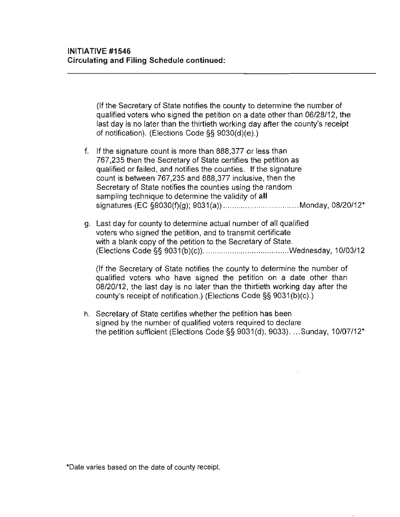(If the Secretary of State notifies the county to determine the number of qualified voters who signed the petition on a date other than 06/28/12, the last day is no later than the thirtieth working day after the county's receipt of notification). (Elections Code §§ 9030(d)(e).)

- f. If the signature count is more than 888,377 or less than 767,235 then the Secretary of State certifies the petition as qualified or failed, and notifies the counties. If the signature count is between 767,235 and 888,377 inclusive, then the Secretary of State notifies the counties using the random sampling technique to determine the validity of **all**  signatures (EC §9030(f)(g); 9031 (a)) .......... .. ..................... Monday, 08/20/12'
- g. Last day for county to determine actual number of all qualified voters who signed the petition, and to transmit certificate with a blank copy of the petition to the Secretary of State. (Elections Code §§ 9031 (b)(c)) ....................................... Wednesday, 10103/12

(If the Secretary of State notifies the county to determine the number of qualified voters who have signed the petition on a date other than 08/20/12, the last day is no later than the thirtieth working day after the county's receipt of notification.) (Elections Code §§ 9031 (b)(c).)

h. Secretary of State certifies whether the petition has been signed by the number of qualified voters required to declare the petition sufficient (Elections Code §§ 9031(d), 9033). ... Sunday, 10/07/12\*

**\*Date varies based on the date of county receipt.**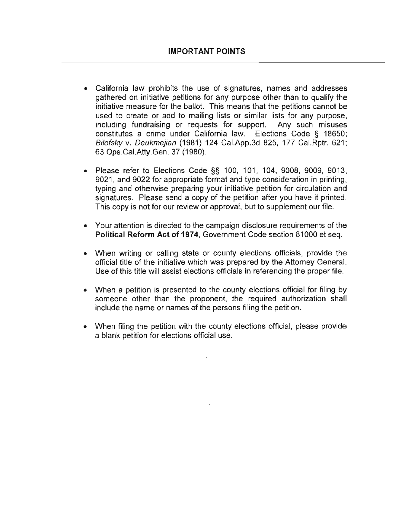- California law prohibits the use of signatures, names and addresses gathered on initiative petitions for any purpose other than to qualify the initiative measure for the ballot. This means that the petitions cannot be used to create or add to mailing lists or similar lists for any purpose, including fundraising or requests for support. Any such misuses constitutes a crime under California law. Elections Code § 18650; Bilofsky v. Deukmejian (1981) 124 Cal.App.3d 825, 177 Cal.Rptr. 621; 63 Ops.CaI.Atty.Gen. 37 (1980).
- Please refer to Elections Code §§ 100, 101, 104, 9008, 9009, 9013, 9021, and 9022 for appropriate format and type consideration in printing, typing and otherwise preparing your initiative petition for circulation and signatures. Please send a copy of the petition after you have it printed. This copy is not for our review or approval, but to supplement our file.
- Your attention is directed to the campaign disclosure requirements of the Political Reform Act of 1974, Government Code section 81000 et seq.
- When writing or calling state or county elections officials, provide the official title of the initiative which was prepared by the Attorney General. Use of this title will assist elections officials in referencing the proper file.
- When a petition is presented to the county elections official for filing by someone other than the proponent, the required authorization shall **include the name or names of the persons filing the petition.**
- When filing the petition with the county elections official, please provide a blank petition for elections official use.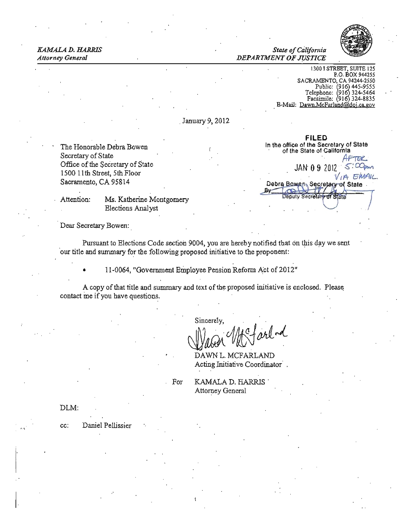## KAMALA D. HARRIS **State of California** *Attorney General DEPARTMENT OF JUSTICE*



13{)(} I STREET, SUITB 125 P.O. BOX 944255 SACRAMENTO, CA 94244-2550 Public: 191 CA 94244-2550 445-9555 Telephone: 91 324-5464 Pacsimile: (916) 324-8835 E-Mail: Dawn.McFarland@doj.ca.gov

. January 9, 2012

Attention: Ms. Katherine Montgomery **Example 2018** Deputy Secretary Elections Analyst

FILED The Honorable Debra Bowen In the office of the Secretary of State . of the State of California<br>Secretary of State . of the State of California Secretary of State *AFTEL*<br>Of the Secretary of State *AFTEL*<br>1500 11th Street, 5th Floor *VIA 5MAIL*<br>Sacramento, CA 95814 Debre Bowen, Secretary of State

Dear Secretary Bowen:

Pursuant to Elections Code section 9004, you are hereby notified that on this day we sent our title and summary for the following proposed initiative to the proponent:

11-0064, "Government Employee Pension Reform Act of 2012"

A copy of that title and summary and text of the proposed initiative is enclosed. Please contact me if you have questions.

Sincerely.

forlad

DAWN L. MCFARLAND Acting Initiative Coordinator .

For **KAMALA D. HARRIS** Attorney General

DLM:

I

cc: Daniel Pellissier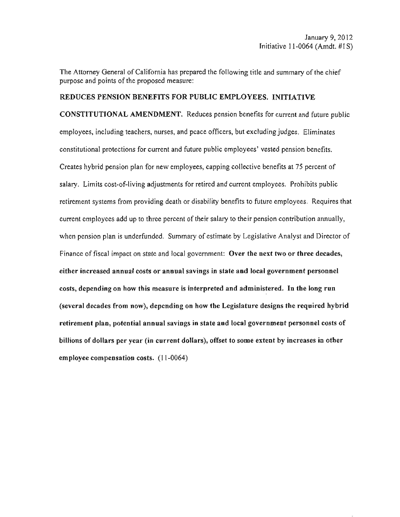The Attorney General of California has prepared the following title and summary of the chief purpose and points of the proposed measure:

## REDUCES PENSION BENEFITS FOR PUBLIC EMPLOYEES. INITIATIVE

CONSTITUTIONAL AMENDMENT. Reduces pension benefits for current and future public employees, including teachers, nurses, and peace officers, but excluding judges. Eliminates constitutional protections for current and future public employees' vested pension benefits. Creates hybrid pension plan for new employees, capping collective benefits at 75 percent of salary. Limits cost-of-living adjustments for retired and current employees. Prohibits public retirement systems from providing death or disability benefits to future employees. Requires that current employees add up to three percent of their salary to their pension contribution annually, when pension plan is underfunded. Summary of estimate by Legislative Analyst and Director of Finance of fiscal impact on state and local government: Over the next two or three decades, either increased annual costs or annual savings in state and local government personnel costs, depending on how this measure is interpreted and administered. In the long run (several decades from now), depending on how the Legislature designs the required hybrid retirement plan, potential annual savings in state and local government personnel costs of billions of dollars per year (in current dollars), offset to some extent by increases in other employee compensation costs. (11-0064)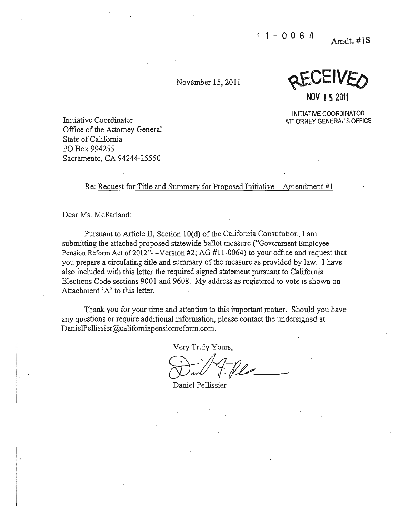November 15, 2011

**NOV 1 5 2011** 

INITIATIVECOORDINATOR

**Initiative Coordinator ATIORNEY GENERAL'S OFFICE** Office of the Attorney General State of California PO Box 994255 Sacramento, CA 94244-25550

## Re: Request for Title and Summary for Proposed Initiative  $-$  Amendment #1

Dear Ms. McFarland:

Pursuant to Article II, Section 10(d) of the California Constitution, I am submitting the attached proposed statewide ballot measure ("Government Employee Pension Reform Act of 2012"--Version #2; AG #11-0064) to your office and request that you prepare a circulating title and swnmary of the measure as provided by law. I have also included with this letter the required signed statement pursuant to California Elections Code sections 9001 and 9608. My address as registered to vote is shown on Attachment 'A' to this letter.

Thank you for your time and attention to this important matter. Should you have any questions or require additional information, please contact the undersigned at **DanielPellissier@califomiapensionrefonn.com.** 

Very Truly Yours,

 $\bigvee$  and  $\bigtriangledown$ . Here  $\longrightarrow$ 

Daniel Pellissier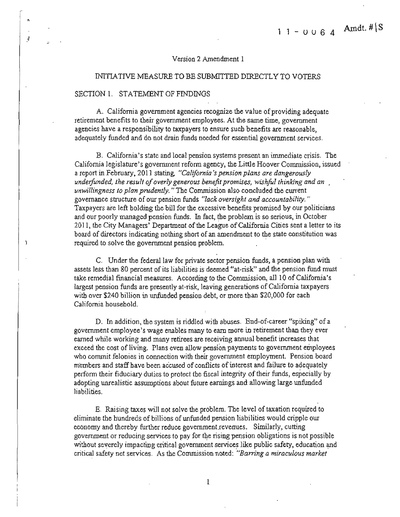#### Version 2 Amendment 1

### INITIATIVE MEASURE TO BE SUBMITTED DIRECTLY TO VOTERS

### SECTION 1. STATEMENT OF FINDINGS

 $\begin{bmatrix} 1 & 1 \\ 1 & 1 \end{bmatrix}$ 

!

 $\lambda$ 

A. California government agencies recognize the value of providing adequate retirement benefits to their government employees. At the same time, government agencies have a responsibility to taxpayers to ensure such benefits are reasonable, adequately funded and do not drain funds needed for essential government services.

B. California's state and local pension systems present an immediate crisis. The California legislature's government refonn agency. the Little Hoover Commission, issued a report in February, 201] stating. *"California's pension plans are dangerously underfunded, the result ofoverly generous benefit promises, wishful thinking and an unwillingness to plan prudently.* "The Commission also concluded the current governance structure of our pension funds "lack oversight and accountability." Taxpayers are left holding the bill for the excessive benefits promised by our politicians and OUf poorly managed pension funds. In fact, the problem is so serious, in October 2011, the City Managers' Department of the League of California Cities sent a letter to its board of directors indicating nothing short of an amendment to the state constitution was required to solve the government pension problem. .

C. Under the federal law for private sector pension funds, a pension plan with assets less than 80 percent of its liabilities is deemed "at·risk" and the pension fund must take remedial financial measures. According to the Commission, all 10 of California's largest pension funds are presently at-risk, leaving generations of California taxpayers with over \$240 billion in unfunded pension debt, or more than \$20,000 for each California household.

D. In addition, the system is riddled with abuses. End-of-career "spiking" of a government employee's wage enables many to eam more in retirement than they ever earned while working and many retirees are receiving annual benefit increases that exceed the cost of living. Plans even allow pension payments to government employees who commit felonies in connection with their government employment. Pension board members and staff have been accused of conflicts of interest and failure to adequately perfonn their fiduciary duties to protect the fiscal integrity oftheir funds, especially by adopting unrealistic assumptions about future earnings and allowing large unfunded liabilities.

E. Raising taxes will not solve the problem. The level of taxation required to eliminate the hundreds of billions of unfunded pension liabilities would cripple our economy and thereby further reduce government.revenues. Similarly, cutting government or reducing services to pay for the rising pension obligations is not possible without severely impacting critical government services like public safety, education and critical safety net services. As the Commission noted: *''Barring a miraculous market* 

Ĭ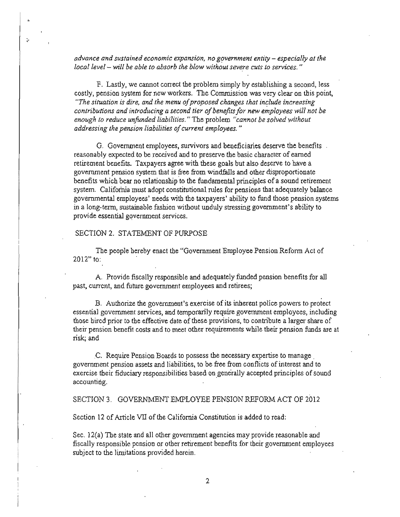*advance and sustained economic expansion, no government entity – especially at the local level-will be able to absorb the blow without severe cuts to services. "* 

F. Lastly, we cannot correct the problem simply by establishing a second, less costly, pension system for new workers. The Commission was very clear on this point, *"The situation is dire. and the menu ofproposed changes that include increasing contributions and introducing a second tier of benefits for new employees will not be enough to reduce unfunded liabilities .*.. The problem *"cannot be solved without addressing the pension liabilities of current employees."* 

G. Government employees, survivors and beneficiaries deserve the benefits reasonably expected to be received and to preserve the basic character of earned retirement benefits. Taxpayers agree with these goals but also deserve to have a government pension system that is free from windfalls and other disproportionate benefits which bear no relationship to the fundamental principles of a sound retirement system. California must adopt constitutional rules for pensions that adequately balance governmental employees' needs with the taxpayers' ability to fund those pension systems in a long-tenn, sustainable fashion without unduly stressing government's ability to provide essential government services.

## SECTION 2. STATEMENT OF PURPOSE

 $\ddot{\phantom{a}}$ 

The people hereby enact the "Government Employee Pension Reform Act of 2012" to:

A. Provide fiscally responsible and adequately funded pension benefits for all past, current, and future government employees and retirees;

B. Authorize the government's exercise of its inherent police powers to protect essential government services, and temporarily require government employees, including those hired prior to the effective date of these provisions, to contribute a larger share of their pension benefit costs and to meet other requirements while their pension funds are at risk; and

C. Require Pension Boards to possess the necessary expertise to manage . government pension assets and liabilities, to be free from conflicts of interest and to exercise their fiduciary responsibilities based on generally accepted principles of sound  $\alpha$ ccounting.  $\alpha$ 

SECTION 3. GOVERNMENT EMPLOYEE PENSION REFORM ACT OF 2012

Section 12 of Article VII of the California Constitution is added to read:

Sec. 12(a) The state and all other government agencies may provide reasonable and fiscally responsible pension or other retirement benefits for their government employees subject to the limitations provided herein.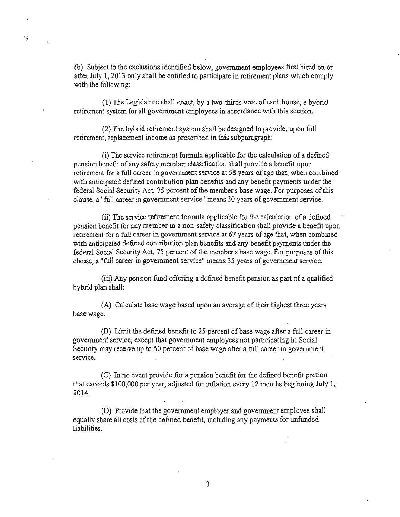(b) Subject to the exclusions identified below, government employees first hired on or after July 1,2013 only shall be entitled to participate in retirement plans which comply with the following:

Ņ.

 $(1)$  The Legislature shall enact, by a two-thirds vote of each house, a hybrid retirement system for all government employees in accordance with this section.

(2) The hybrid retirement system shall be designed to provide, upon full retirement, replacement income as prescribed in this subparagraph:

(i) The service retirement formula applicable for the calculation of a defined pension benefit of any safety member classification shall provide a benefit upon retirement for a full career in government service at 58 years of age that, when combined with anticipated defined contribution plan benefits and any benefit payments under the federal Social Security Act, 75 percent of the member's base wage. For purposes of this clause, a "full career in government service" means 30 years of government service.

 $(i)$  The service retirement formula applicable for the calculation of a defined pension benefit for any member in a non-safety classification shall provide a benefit upon retirement for a full career in government service at 67 years of age that, when combined with anticipated defined contribution plan benefits and any benefit payments under the federal Social Security Act, 75 percent of the member's base wage. For purposes of this clause, a "full career in government service" means 35 years ofgovernment service.

(iii) Any pension fund offering a defined benefit pension as part of a qualified hybrid plan shall:

(A) Calculate base wage based upon an average of their highest three years base wage.

(B) Limit the defined benefit to 25 percent ofbase wage after a full career in government service, except that government employees not participating in Social Security may receive up to 50 percent of base wage after a full career in government service.

(C) In no event provide for a pension benefit for the defined benefit portion hat exceeds \$100,000 per year, adjusted for inflation every 12 months beginning July 1.  $m_1$  crosses to  $m_2$ ,  $m_3$  , adjusted for mitation every 12 months  $m_2$ 

(D) Provide that the government employer and government employee shall equally share all costs of the defined benefit, including any payments for unfunded liabilities.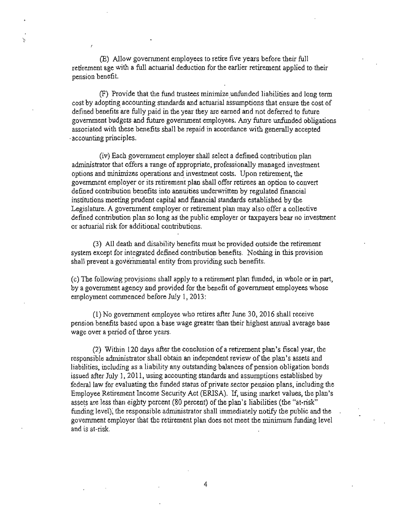(E) Allow government employees to retire five years before their full retirement age with a full actuarial deduction for the earlier retirement applied to their pension benefit.

(F) Provide that the fund trustees minimize unfunded liabilities and long term cost by adopting accounting standards and actuarial assumptions that ensure the cost of defined benefits are fully paid in the year they are earned and not deferred to future government budgets and future govetnment employees. Any future unfunded obligations associated with these benefits shall be repaid in accordance with generally accepted . accounting principles.

(iv) Each government employer shall select a defined contribution plan administrator that offers a range of appropriate, professionally managed investment options and minimizes operations and investment costs. Upon retirement, the government employer or its retirement plan shall offer retirees an option to convert defined contribution benefits into annuities underwritten by regulated financial institutions meeting prudent capital and financial standards established by the Legislature. A government employer or retirement plan may also offer a collective defined contribution plan so long as the public employer or taxpayers bear no investment or actuarial risk for additional contributions.

(3) All death and disability benefits must be provided outside the retirement system except for integrated defined contribution benefits. Nothing in this provision shall prevent a governmental entity from providing such benefits.

(c) The following prov.isions shall apply to a retirement plan funded, in whole or in part, by a government agency and provided for the benefit of govemment employees whose employment commenced before July I, 2013:

(1) No government employee who retires after June 30,2016 shall receive pension benefits based upon a base wage greater than their highest annual average base wage over a period of three years,

(2) Within 120 days after the conclusion of a retirement plan's fiscal year, the responsible administrator shall obtain an independent review of the plan's assets and liabilities, including as a liability any outstanding balances of pension obligation bonds issued after July 1, 2011, using accounting standards and assumptions established by federal law for evaluating the funded status of private sector pension plans, including the Employee Retirement Income Security Act (ERISA). If, using market values, the plan's assets are less than eighty percent (80 percent) of the plan's liabilities (the "at-risk" funding level); the responsible administrator shall immediately notify the public and the government employer that the retirement plan does not meet the minimum funding level and is at-risk.

4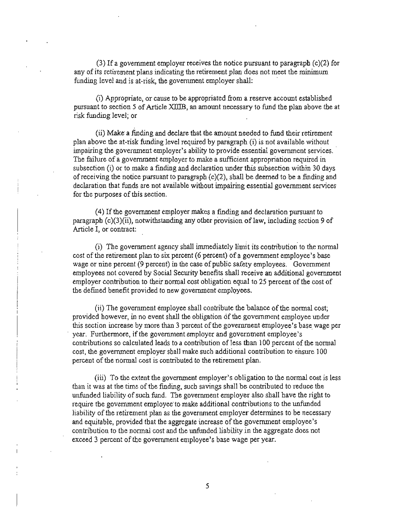(3) If a government employer receives the notice pursuant to paragraph (c)(2) for any of its retirement plans indicating the retirement plan does not meet the minimum funding level and is at-risk, the government employer shall: .

(i) Appropriate, or cause to be appropriated from a reserve account established pursuant to section 5 of Article XIDB, an amount necessary to fund the plan above the at risk funding level; or

(ii) Make' a finding and declare that the amount needed to fund their retirement plan above the at-risk funding level required by paragraph (i) is not available without impairing the government employer's ability to provide essential government services. ' The failure of a government employer to make a sufficient appropriation required in subsection (i) or to make a finding and declaration under this subsection within 30 days of receiving the notice pursuant to paragraph  $(c)(2)$ , shall be deemed to be a finding and declaration that funds are not available without impairing essential government services for the purposes of this section.

(4) Ifthe government employer makes a finding and declaration pursuant to paragraph  $(c)(3)(ii)$ , notwithstanding any other provision of law, including section 9 of Article I, or contract:

(i) The government agency shall immediately limit its contribution" to the normal cost of the retirement plan to six percent (6 percent) of a government employee's base wage or nine percent (9 percent) in the case of public safety employees. Government employees not covered by Social Security benefits shall receive an additional government employer contribution to their normal cost obligation equal to 25 percent of the cost of the defined benefit provided to new government employees.

(ii) The government employee shall contribute the balance of the normal cost; provided however, in no event shall the obligation of the government employee under this section increase by more than 3 percent of the government employee's base wage per year. Furthermore, if the government employer and government employee's contributions so calculated leads to a contribution of less than 100 percent of the normal cost, the government employer shal1 make such additional contribution to ensure 100 percent of the nonnal cost is contributed to the retirement plan.

(iii) To the extent the government employer's obligation to the normal cost is less than it was at the time of the finding, such savings shall be contributed to reduce the unfunded liability of such fund. The government employer also shall have the right to require the government employee" to make additional contributions to the unfunded liability of the retirement plan as the government employer determines to be necessary and equitable, provided that the aggregate increase of the government employee's contribution to the normal cost and the unfunded liability in the aggregate does not exceed 3 percent of the government employee's base wage per year.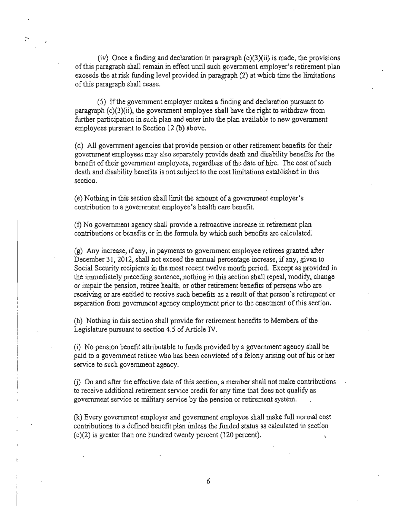$(iv)$  Once a finding and declaration in paragraph  $(c)(3)(ii)$  is made, the provisions of this paragraph shall remain in effect until such government employer's retirement plan exceeds the at risk funding level provided in paragraph (2) at which time the limitations of this paragraph shall cease. .

(5) Ifthe government employer makes a finding and declaration pursuant to paragraph (c)(3)(ii), the government employee shall have the right to withdraw from further participation in such plan and enter into the plan available to new government employees pursuant to Section 12 (b) above.

(d) All government agencies that provide pension or other retirement benefits for their government employees may also separately provide death and disability benefits for the benefit of their government employees. regardless of the date afhire. The cost of such death and disability benefits is not subject to the cost limitations established in this section.

(e) Nothing in this section shall limit the amount of a government employer's contribution to a government employee's health care benefit.

(f) No government agency shall provide a retroactive increase in retirement plan contributions or benefits or in the formula by which such benefits are calculated·.

 $(g)$  Any increase, if any, in payments to government employee retirees granted after December 31, 2012, shall not exceed the annual percentage increase, if any, given to Social Security recipients in the most recent twelve month period. Except as provided in the immediately preceding sentence, nothing in this section shall repeal, modify, change or impair the pension, retiree health, or other retirement benefits of persons who are receiving or are entitled to receive such benefits as a result of that person's retirement or separation from government agency employment prior to the enactment of this section.

(h) Nothing in this section shall provide for retirement benefits to Members of the Legislature pursuant to section 4.5 of Article IV.

(i) No pension benefit attributable to funds provided by a government agency shall be paid to a government retiree who has been convicted of a felony arising out of his or her service to such government agency.

G) On and after the effective date of this section, a member shall not make contributions to receive additional retirement service credit for any time that does not qualify as government service or military service by the pension or retirement system.

(k) Every government employer and government employee shall make full normal cost contributions to a defined benefit plan Unless the funded status as calculated in section  $(c)(2)$  is greater than one hundred twenty percent (120 percent).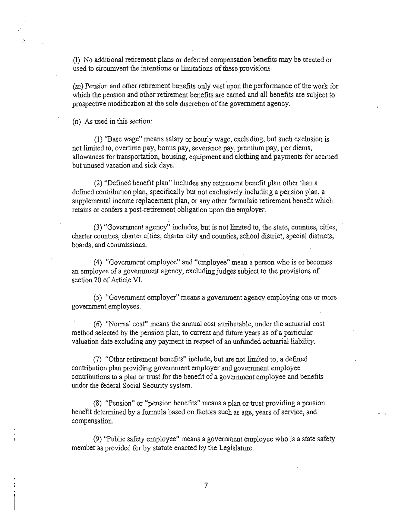(1) No additional retirement plans or deferred compensation benefits may be created or used to circumvent the intentions or limitations of these provisions.

(m) Pension and other retirement benefits only vest 'upon the performance of the work for which the pension and other retirement benefits are earned and all benefits are subject to prospective modification at the sole discretion of the government agency.

(n) As used in this section:

(1) ''Base wage" means salary or hourly wage, excluding, but such exclusion is not limited to, overtime pay, bonus pay, severance pay, premium pay, per diems, allowances for transportation, housing, equipment and clothing and payments for accrued but unused vacation and sick days.

(2) "Defined benefit plan" includes any retirement benefit plan other than a defined contribution plan, specifically but not exclusively including a pension plan, a supplemental income replacement plan, or any other formulaic retirement benefit which retains or confers a post-retirement obligation upon the employer.

(3) "Government agency" includes, but is not limited to, the state, counties, cities, charter counties, charter cities, charter city and counties, school district, special districts, boards, and commissions.

(4) "Government employee" and "employee" mean a person who is or becomes an employee of a government agency, excluding judges subject to the provisions of section 20 of Article VI.

(5) "Government employer" means a govenunent agency employing one or more government,employees.

(6) "Nonnal cost" means the annual cost attributable, under the actuarial cost method selected by the pension plan, to current and future years as of a particular valuation date excluding any payment in respect of an unfunded actuarial liability .

(7) "Other retirement benefits" include, but are not limited to, a defined contribution plan providing government employer and government employee contributions to a plan or trust for the benefit of a government employee and benefits under the federal Socia1 Security system.

(8) "Pension" or "pension benefits" means a plan OT trust providing a pension bene'fit determined by a fonnula based on factors such as age, years of service, and compensation.

(9) "Public safety employee" means a government employee who is a state safety member as provided for by statute enacted by the Legislature.

7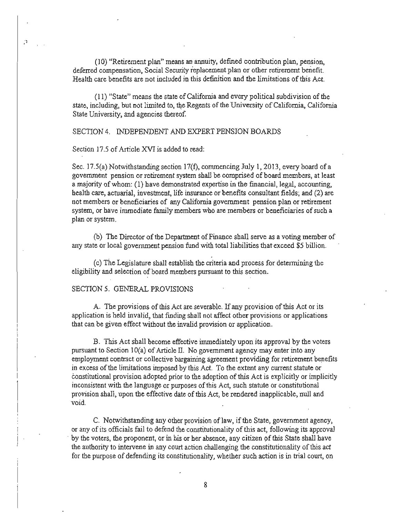(10) "Retirement plan" means an annuity, defined contribution plan, pension, deferred compensation, Social Security replacement plan or other retirement benefit. Health care benefits are not included in this defInition and the limitations of this Act.

 $(11)$  "State" means the state of California and every political subdivision of the state, including, but not limited to, the Regents of the University of California, California State University, and agencies thereof.

#### SECTION 4, INDEPENDENT AND EXPERT PENSION BOARDS

#### Section 17.5 of Article XVI is added to read:

,'

Sec. 17.5(a) Notwithstanding section 17(f), commencing July 1, 2013, every board of a government pension or retirement system shall be comprised ofboard members, at least a majority of whom:  $(1)$  have demonstrated expertise in the financial, legal, accounting, health care, actuarial, investment, life insurance or benefits consultant fields; and (2) are not members or beneficiaries of any California government pension plan or retirement system, or have immediate family members who are members or beneficiaries of such a plan or system.

(b) The Director of the Department of Finance shall serve as a voting member of any state or local govenunent pension fund with total liabilities that exceed \$5 billion.

(c) The Legislature shall establish the criteria and process for detennining the eligibility and selection of board members pursuant to this section.

#### SECTION 5, GENERAL PROVISIONS

A. The provisions of this Act are severable. If any provision of this Act or its application is held invalid, that finding shall not affect other provisions or applications that can be given effect without the invalid provision or application.

B. This Act shall become effective inunediately upon its approval by the voters pursuant to Section  $10(a)$  of Article II. No government agency may enter into any employment contract or collective bargaining agreement providing for retirement benefits in excess of the limitations imposed by this Act. To the extent any current statute or constitutional provision adopted prior to the adoption of this Act is explicitly or implicitly inconsistent with the language or purposes of this Act, such statute or constitutional provision shall, upon the effective date of this Act, be rendered inapplicable, null and void.

C. Notwithstanding any other provision of law, if the State, government agency, or any of its officials fail to defend the constitutionality ofthis act, following its approval by the voters, the proponent, or in his or her absence, any citizen of this State shall have the authority to intervene in any court action challenging the constitutionality of this act for the purpose of defending its constitutionality, whether such action is in trial court, on

8